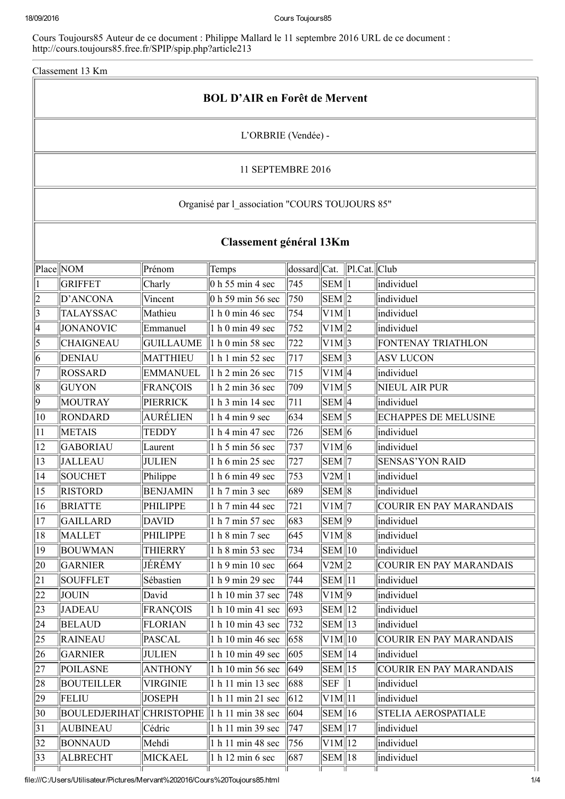Cours Toujours85 Auteur de ce document : Philippe Mallard le 11 septembre 2016 URL de ce document : http://cours.toujours85.free.fr/SPIP/spip.php?article213

Classement 13 Km

| <b>BOL D'AIR en Forêt de Mervent</b>           |                      |                   |                           |                                                                          |                                |    |                                |  |  |  |
|------------------------------------------------|----------------------|-------------------|---------------------------|--------------------------------------------------------------------------|--------------------------------|----|--------------------------------|--|--|--|
| L'ORBRIE (Vendée) -                            |                      |                   |                           |                                                                          |                                |    |                                |  |  |  |
|                                                | 11 SEPTEMBRE 2016    |                   |                           |                                                                          |                                |    |                                |  |  |  |
| Organisé par l_association "COURS TOUJOURS 85" |                      |                   |                           |                                                                          |                                |    |                                |  |  |  |
| Classement général 13Km                        |                      |                   |                           |                                                                          |                                |    |                                |  |  |  |
|                                                | Place NOM            | Prénom            | Temps                     | $\vert$ dossard $\vert\vert$ Cat. $\vert\vert$ Pl.Cat. $\vert\vert$ Club |                                |    |                                |  |  |  |
|                                                | <b>GRIFFET</b>       | Charly            | $\vert$ 0 h 55 min 4 sec  | 745                                                                      | $\vert$ SEM $\vert$ 1          |    | individuel                     |  |  |  |
| 12                                             | D'ANCONA             | Vincent           | $\vert$ 0 h 59 min 56 sec | $\vert 750 \vert$                                                        | $\sum \text{EM} \ 2$           |    | individuel                     |  |  |  |
| 3                                              | <b>TALAYSSAC</b>     | Mathieu           | 1 h 0 min 46 sec          | 754                                                                      | V1M  1                         |    | individuel                     |  |  |  |
| 4                                              | <b>JONANOVIC</b>     | Emmanuel          | 1 h 0 min 49 sec          | 752                                                                      | V1M  2                         |    | individuel                     |  |  |  |
| 5                                              | <b>CHAIGNEAU</b>     | <b>GUILLAUME</b>  | $1$ h 0 min 58 sec        | 722                                                                      | V1M  3                         |    | FONTENAY TRIATHLON             |  |  |  |
| 6                                              | <b>DENIAU</b>        | <b>MATTHIEU</b>   | $1$ h 1 min 52 sec        | 717                                                                      | $\overline{\text{SEM}}$ 3      |    | <b>ASV LUCON</b>               |  |  |  |
|                                                | <b>ROSSARD</b>       | <b>EMMANUEL</b>   | 1 h 2 min 26 sec          | 715                                                                      | $V1M$  4                       |    | individuel                     |  |  |  |
| 8                                              | <b>GUYON</b>         | FRANÇOIS          | 1 h 2 min 36 sec          | 709                                                                      | $V1M$  5                       |    | NIEUL AIR PUR                  |  |  |  |
| $ 9\rangle$                                    | MOUTRAY              | PIERRICK          | 1 h 3 min 14 sec          | 711                                                                      | $\sum \mathrm{EM} \parallel 4$ |    | individuel                     |  |  |  |
| $ 10\rangle$                                   | <b>RONDARD</b>       | AURÉLIEN          | 1 h 4 min 9 sec           | 634                                                                      | $\vert$ SEM $\vert$ 5          |    | <b>ECHAPPES DE MELUSINE</b>    |  |  |  |
| 11                                             | <b>METAIS</b>        | <b>TEDDY</b>      | 1 h 4 min 47 sec          | 726                                                                      | $\overline{\text{SEM}}$ 6      |    | individuel                     |  |  |  |
| $ 12\rangle$                                   | GABORIAU             | Laurent           | 1 h 5 min 56 sec          | 737                                                                      | $V1M$ 6                        |    | individuel                     |  |  |  |
| 13                                             | <b>JALLEAU</b>       | <b>JULIEN</b>     | 1 h 6 min 25 sec          | 727                                                                      | $SEM$   7                      |    | <b>SENSAS'YON RAID</b>         |  |  |  |
| 14                                             | <b>SOUCHET</b>       | Philippe          | 1 h 6 min 49 sec          | 753                                                                      | V2M  1                         |    | individuel                     |  |  |  |
| 15                                             | <b>RISTORD</b>       | <b>BENJAMIN</b>   | 1 h 7 min 3 sec           | 689                                                                      | $\overline{\text{SEM}}\ 8$     |    | individuel                     |  |  |  |
| $\sqrt{16}$                                    | BRIATTE              | <b>PHILIPPE</b>   | 1 h 7 min 44 sec          | $\sqrt{721}$                                                             | $V1M$ $7$                      |    | COURIR EN PAY MARANDAIS        |  |  |  |
| 17                                             | GAILLARD             | DAVID             | 1 h 7 min 57 sec          | 683                                                                      | $SEM$  9                       |    | individuel                     |  |  |  |
| 18                                             | <b>MALLET</b>        | <b>PHILIPPE</b>   | 1 h 8 min 7 sec           | 645                                                                      | $V1M$  8                       |    | individuel                     |  |  |  |
| 19                                             | <b>BOUWMAN</b>       | <b>THIERRY</b>    | 1 h 8 min 53 sec          | 734                                                                      | $\vert$ SEM $\vert$ 10         |    | individuel                     |  |  |  |
| 20                                             | <b>GARNIER</b>       | JÉRÉMY            | 1 h 9 min 10 sec          | 664                                                                      | V2M  2                         |    | <b>COURIR EN PAY MARANDAIS</b> |  |  |  |
| 21                                             | <b>SOUFFLET</b>      | Sébastien         | 1 h 9 min 29 sec          | 744                                                                      | SEM  11                        |    | individuel                     |  |  |  |
| 22                                             | JOUIN                | David             | 1 h 10 min 37 sec         | 748                                                                      | $V1M$  9                       |    | individuel                     |  |  |  |
| $ 23\rangle$                                   | <b>JADEAU</b>        | <b>FRANÇOIS</b>   | 1 h 10 min 41 sec         | 693                                                                      | SEM  12                        |    | individuel                     |  |  |  |
| 24                                             | <b>BELAUD</b>        | FLORIAN           | 1 h 10 min 43 sec         | 732                                                                      | $\sum \text{EM}$   13          |    | individuel                     |  |  |  |
| $ 25\rangle$                                   | <b>RAINEAU</b>       | PASCAL            | 1 h 10 min 46 sec         | 658                                                                      | $V1M$   10                     |    | <b>COURIR EN PAY MARANDAIS</b> |  |  |  |
| $ 26\rangle$                                   | <b>GARNIER</b>       | <b>JULIEN</b>     | 1 h 10 min 49 sec         | 605                                                                      | $SEM$   14                     |    | individuel                     |  |  |  |
| 27                                             | <b>POILASNE</b>      | <b>ANTHONY</b>    | 1 h 10 min 56 sec         | 649                                                                      | $\text{SEM}$   15              |    | <b>COURIR EN PAY MARANDAIS</b> |  |  |  |
| 28                                             | <b>BOUTEILLER</b>    | VIRGINIE          | 1 h 11 min 13 sec         | 688                                                                      | <b>SEF</b>                     | 11 | individuel                     |  |  |  |
| $ 29\rangle$                                   | <b>FELIU</b>         | <b>JOSEPH</b>     | 1 h 11 min 21 sec         | $\vert$ 612                                                              | V1M  11                        |    | individuel                     |  |  |  |
| $ 30\rangle$                                   | <b>BOULEDJERIHAT</b> | <b>CHRISTOPHE</b> | 1 h 11 min 38 sec         | 604                                                                      | $\text{SEM}$   16              |    | STELIA AEROSPATIALE            |  |  |  |
| 31                                             | <b>AUBINEAU</b>      | Cédric            | 1 h 11 min 39 sec         | 747                                                                      | $\sum \text{EM} \parallel 17$  |    | individuel                     |  |  |  |
| 32                                             | <b>BONNAUD</b>       | Mehdi             | 1 h 11 min 48 sec         | 756                                                                      | V1M  12                        |    | individuel                     |  |  |  |
| $\parallel$ 33                                 | <b>ALBRECHT</b>      | <b>MICKAEL</b>    | 1 h 12 min 6 sec          | 687                                                                      | $\sum \text{EM} \parallel 18$  |    | individuel                     |  |  |  |

٦Ē

٦r

ТГ

٦r

file:///C:/Users/Utilisateur/Pictures/Mervant%202016/Cours%20Toujours85.html 1/4

ПF

٦r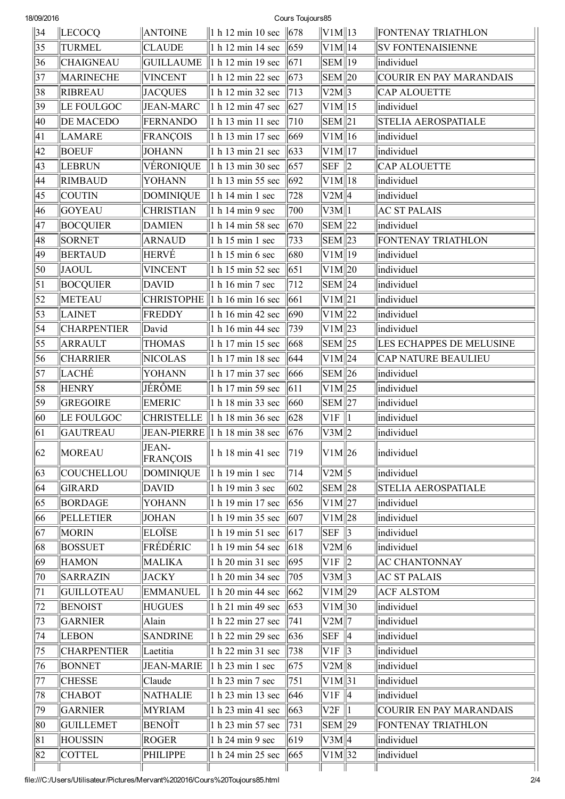| Cours Toujours85<br>18/09/2016 |                    |                          |                                                               |                   |                                 |  |                                |
|--------------------------------|--------------------|--------------------------|---------------------------------------------------------------|-------------------|---------------------------------|--|--------------------------------|
| 34                             | <b>LECOCQ</b>      | <b>ANTOINE</b>           | 1 h 12 min 10 sec                                             | 678               | $\ V1M\ 13$                     |  | FONTENAY TRIATHLON             |
| 35                             | <b>TURMEL</b>      | <b>CLAUDE</b>            | $\vert$ 1 h 12 min 14 sec                                     | $ 659\rangle$     | V1M  14                         |  | <b>SV FONTENAISIENNE</b>       |
| 36                             | <b>CHAIGNEAU</b>   | <b>GUILLAUME</b>         | 1 h 12 min 19 sec                                             | 671               | $\vert$ SEM $\vert$ 19          |  | individuel                     |
| 37                             | MARINECHE          | <b>VINCENT</b>           | $\vert$ 1 h 12 min 22 sec                                     | $ 673\rangle$     | $\vert$ SEM $\vert$ 20          |  | <b>COURIR EN PAY MARANDAIS</b> |
| 38                             | <b>RIBREAU</b>     | <b>JACQUES</b>           | 1 h 12 min 32 sec                                             | 713               | V2M  3                          |  | <b>CAP ALOUETTE</b>            |
| 39                             | LE FOULGOC         | JEAN-MARC                | 1 h 12 min 47 sec                                             | 627               | $V1M$   15                      |  | individuel                     |
| 40                             | <b>DE MACEDO</b>   | FERNANDO                 | $\ $ 1 h 13 min 11 sec                                        | 710               | $\sum \mathrm{EM} \parallel 21$ |  | <b>STELIA AEROSPATIALE</b>     |
| 41                             | <b>LAMARE</b>      | <b>FRANÇOIS</b>          | 1 h 13 min 17 sec                                             | 669               | $V1M$   16                      |  | individuel                     |
| 42                             | <b>BOEUF</b>       | JOHANN                   | $\vert$ 1 h 13 min 21 sec                                     | $ 633\rangle$     | V1M  17                         |  | individuel                     |
| 43                             | <b>LEBRUN</b>      | VÉRONIQUE                | 1 h 13 min 30 sec                                             | 657               | $SEF$ 2                         |  | <b>CAP ALOUETTE</b>            |
| 44                             | <b>RIMBAUD</b>     | <b>YOHANN</b>            | 1 h 13 min 55 sec                                             | $ 692\rangle$     | $V1M$   18                      |  | individuel                     |
| 45                             | <b>COUTIN</b>      | <b>DOMINIQUE</b>         | 1 h 14 min 1 sec                                              | 728               | V2M  4                          |  | individuel                     |
| 46                             | <b>GOYEAU</b>      | <b>CHRISTIAN</b>         | $1$ h 14 min 9 sec                                            | 700               | V3M  1                          |  | <b>AC ST PALAIS</b>            |
| 47                             | <b>BOCQUIER</b>    | <b>DAMIEN</b>            | $1$ h 14 min 58 sec                                           | $ 670\rangle$     | $\sum \text{EM} \parallel 22$   |  | individuel                     |
| 48                             | SORNET             | <b>ARNAUD</b>            | $1$ h 15 min 1 sec                                            | 733               | $\sum \text{EM} \parallel 23$   |  | <b>FONTENAY TRIATHLON</b>      |
| 49                             | <b>BERTAUD</b>     | HERVÉ                    | $\vert$ 1 h 15 min 6 sec                                      | 680               | $\sqrt{VM}$ 19                  |  | individuel                     |
| 50                             | JAOUL              | <b>VINCENT</b>           | $\ $ 1 h 15 min 52 sec                                        | 651               | V1M  20                         |  | individuel                     |
| 51                             | <b>BOCQUIER</b>    | <b>DAVID</b>             | 1 h 16 min 7 sec                                              | 712               | $\sum \text{EM} \parallel 24$   |  | individuel                     |
| 52                             | METEAU             |                          | CHRISTOPHE 1 h 16 min 16 sec                                  | 661               | V1M  21                         |  | individuel                     |
| 53                             | LAINET             | FREDDY                   | 1 h 16 min 42 sec                                             | 690               | $\vert$ V1M $\vert$ 22          |  | individuel                     |
| 54                             | <b>CHARPENTIER</b> | David                    | 1 h 16 min 44 sec                                             | 739               | $\rm  V1M  23$                  |  | individuel                     |
| 55                             | ARRAULT            | <b>THOMAS</b>            | $\vert$ 1 h 17 min 15 sec                                     | 668               | $\sum \text{EM} \parallel 25$   |  | LES ECHAPPES DE MELUSINE       |
| 56                             | <b>CHARRIER</b>    | <b>NICOLAS</b>           | 1 h 17 min 18 sec                                             | 644               | $V1M$  24                       |  | <b>CAP NATURE BEAULIEU</b>     |
| 57                             | LACHE              | <b>YOHANN</b>            | 1 h 17 min 37 sec                                             | 666               | $\sum$ SEM 26                   |  | individuel                     |
| 58                             | <b>HENRY</b>       | JÉRÔME                   | 1 h 17 min 59 sec                                             | $\vert 611 \vert$ | $\overline{\text{V1M}}$  25     |  | individuel                     |
| 59                             | <b>GREGOIRE</b>    | <b>EMERIC</b>            | 1 h 18 min 33 sec                                             | 660               | $\sum \text{EM} \parallel 27$   |  | individuel                     |
| 60                             | LE FOULGOC         | <b>CHRISTELLE</b>        | 1 h 18 min 36 sec                                             | 628               | $VIF$   1                       |  | individuel                     |
| 61                             | <b>GAUTREAU</b>    |                          | JEAN-PIERRE $\ 1 h\  18 \text{ min } 38 \text{ sec } \ 676\ $ |                   | V3M 2                           |  | individuel                     |
| $ 62\rangle$                   | <b>MOREAU</b>      | JEAN-<br><b>FRANÇOIS</b> | 1 h 18 min 41 sec   719                                       |                   | V1M  26                         |  | lindividuel                    |
| 63                             | COUCHELLOU         | <b>DOMINIQUE</b>         | 1 h 19 min 1 sec                                              | 714               | V2M                             |  | individuel                     |
| 64                             | GIRARD             | DAVID                    | $\parallel$ 1 h 19 min 3 sec                                  | $ 602\rangle$     | $\sum$ SEM $\ $ 28              |  | <b>STELIA AEROSPATIALE</b>     |
| 65                             | BORDAGE            | YOHANN                   | 1 h 19 min 17 sec                                             | 656               | $V1M$  27                       |  | individuel                     |
| 66                             | <b>PELLETIER</b>   | JOHAN                    | 1 h 19 min 35 sec $\ 607\ $                                   |                   | V1M  28                         |  | individuel                     |
| 67                             | <b>MORIN</b>       | <b>ELOÏSE</b>            | 1 h 19 min 51 sec   617                                       |                   | $SEF$ 3                         |  | individuel                     |
| 68                             | <b>BOSSUET</b>     | FRÉDÉRIC                 | 1 h 19 min 54 sec   618                                       |                   | V2M  6                          |  | individuel                     |
| 69                             | <b>HAMON</b>       | MALIKA                   | $\vert$ 1 h 20 min 31 sec $\vert$ 695                         |                   | $VIF$ 2                         |  | <b>AC CHANTONNAY</b>           |
| 70                             | SARRAZIN           | JACKY                    | 1 h 20 min 34 sec $\ $ 705                                    |                   | V3M  3                          |  | <b>AC ST PALAIS</b>            |
| 71                             | GUILLOTEAU         | <b>EMMANUEL</b>          | 1 h 20 min 44 sec   662                                       |                   | $\rm  V1M  29$                  |  | <b>ACF ALSTOM</b>              |
| 72                             | <b>BENOIST</b>     | <b>HUGUES</b>            | 1 h 21 min 49 sec   653                                       |                   | $\vert$ V1M $\vert$ 30          |  | individuel                     |
| 73                             | <b>GARNIER</b>     | Alain                    | 1 h 22 min 27 sec   741                                       |                   | V2M  7                          |  | individuel                     |
| 74                             | LEBON              | <b>SANDRINE</b>          | 1 h 22 min 29 sec   636                                       |                   | $SEF$  4                        |  | individuel                     |
| 75                             | <b>CHARPENTIER</b> | Laetitia                 | $\vert$ 1 h 22 min 31 sec                                     | $\vert$ 738       | $V1F$ 3                         |  | individuel                     |
| 76                             | <b>BONNET</b>      |                          | JEAN-MARIE   1 h 23 min 1 sec                                 | 675               | V2M  8                          |  | individuel                     |
| 77                             | <b>CHESSE</b>      | Claude                   | 1 h 23 min 7 sec                                              | 751               | $\vert$ V1M $\vert$ 31          |  | individuel                     |
| 78                             | <b>CHABOT</b>      | NATHALIE                 | 1 h 23 min 13 sec                                             | 646               | $VIF$  4                        |  | individuel                     |
| 79                             | <b>GARNIER</b>     | <b>MYRIAM</b>            | $\vert$ 1 h 23 min 41 sec $\vert$ 663                         |                   | V2F  1                          |  | <b>COURIR EN PAY MARANDAIS</b> |
| 80                             | <b>GUILLEMET</b>   | BENOÎT                   | 1 h 23 min 57 sec                                             | $\  731$          | $\sum_{n=1}^{\infty}$           |  | <b>FONTENAY TRIATHLON</b>      |
| 81                             | <b>HOUSSIN</b>     | ROGER                    | 1 h 24 min 9 sec                                              | $ 619\rangle$     | $ V3M $ 4                       |  | individuel                     |
| 82                             | <b>COTTEL</b>      | PHILIPPE                 | 1 h 24 min 25 sec                                             | $ 665\rangle$     | $\vert$ V1M $\vert$ 32          |  | individuel                     |
|                                |                    |                          |                                                               |                   |                                 |  |                                |

file:///C:/Users/Utilisateur/Pictures/Mervant%202016/Cours%20Toujours85.html 2/4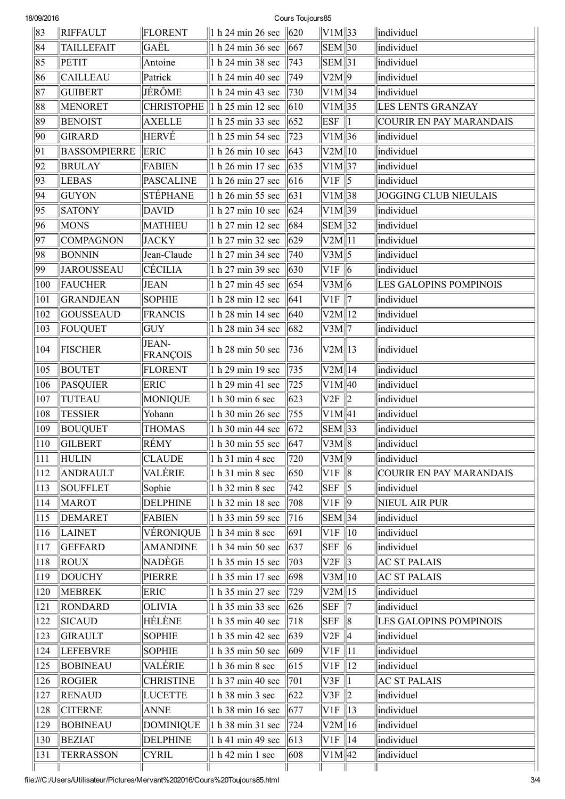| Cours Toujours85<br>18/09/2016 |                     |                   |                                   |                 |                               |                          |                                |
|--------------------------------|---------------------|-------------------|-----------------------------------|-----------------|-------------------------------|--------------------------|--------------------------------|
| 83                             | <b>RIFFAULT</b>     | FLORENT           | 1 h 24 min 26 sec                 | $\parallel 620$ | $\ V1M\ 33$                   |                          | lindividuel                    |
| 84                             | <b>TAILLEFAIT</b>   | GAËL              | 1 h 24 min 36 sec                 | 667             | $\vert$ SEM $\vert$ 30        |                          | individuel                     |
| 85                             | <b>PETIT</b>        | Antoine           | 1 h 24 min 38 sec                 | 743             | $\overline{\text{SEM}}$ 31    |                          | individuel                     |
| 86                             | <b>CAILLEAU</b>     | Patrick           | 1 h 24 min 40 sec                 | 749             | V2M  9                        |                          | individuel                     |
| 87                             | <b>GUIBERT</b>      | JÉRÔME            | 1 h 24 min 43 sec                 | 730             | $V1M$  34                     |                          | individuel                     |
| 88                             | <b>MENORET</b>      |                   | CHRISTOPHE $\ $ 1 h 25 min 12 sec | $ 610\rangle$   | $V1M$  35                     |                          | <b>LES LENTS GRANZAY</b>       |
| 89                             | <b>BENOIST</b>      | <b>AXELLE</b>     | 1 h 25 min 33 sec                 | 652             | <b>ESF</b>                    | $\vert$ 1                | <b>COURIR EN PAY MARANDAIS</b> |
| 90                             | <b>GIRARD</b>       | <b>HERVÉ</b>      | 1 h 25 min 54 sec                 | 723             | $\rm  V1M  36$                |                          | individuel                     |
| 91                             | <b>BASSOMPIERRE</b> | <b>ERIC</b>       | 1 h 26 min 10 sec                 | 643             | V2M  10                       |                          | individuel                     |
| 92                             | <b>BRULAY</b>       | <b>FABIEN</b>     | 1 h 26 min 17 sec                 | 635             | $V1M$  37                     |                          | individuel                     |
| 93                             | LEBAS               | <b>PASCALINE</b>  | 1 h 26 min 27 sec                 | 616             | VIF                           | $\sqrt{5}$               | individuel                     |
| 94                             | <b>GUYON</b>        | STÉPHANE          | 1 h 26 min 55 sec                 | $\vert$ 631     | $V1M$  38                     |                          | JOGGING CLUB NIEULAIS          |
| 95                             | <b>SATONY</b>       | <b>DAVID</b>      | 1 h 27 min 10 sec                 | 624             | $V1M$ 39                      |                          | individuel                     |
| 96                             | <b>MONS</b>         | MATHIEU           | 1 h 27 min 12 sec                 | 684             | $\overline{\text{SEM}}$ 32    |                          | individuel                     |
| 97                             | <b>COMPAGNON</b>    | <b>JACKY</b>      | 1 h 27 min 32 sec                 | $ 629\rangle$   | V2M  11                       |                          | individuel                     |
| 98                             | <b>BONNIN</b>       | Jean-Claude       | 1 h 27 min 34 sec                 | 740             | $V3M\sqrt{5}$                 |                          | individuel                     |
| 99                             | JAROUSSEAU          | CÉCILIA           | 1 h 27 min 39 sec                 | 630             | V1F  6                        |                          | individuel                     |
| 100                            | FAUCHER             | <b>JEAN</b>       | 1 h 27 min 45 sec                 | 654             | V3M  6                        |                          | <b>LES GALOPINS POMPINOIS</b>  |
| 101                            | <b>GRANDJEAN</b>    | <b>SOPHIE</b>     | 1 h 28 min 12 sec                 | 641             | VIF                           | 17                       | individuel                     |
| 102                            | <b>GOUSSEAUD</b>    | <b>FRANCIS</b>    | 1 h 28 min 14 sec                 | 640             | V2M  12                       |                          | individuel                     |
| 103                            | FOUQUET             | <b>GUY</b>        | 1 h 28 min 34 sec                 | 682             | V3M  7                        |                          | individuel                     |
| 104                            | <b>FISCHER</b>      | JEAN-<br>FRANÇOIS | 1 h 28 min 50 sec                 | 736             | V2M  13                       |                          | individuel                     |
| 105                            | <b>BOUTET</b>       | <b>FLORENT</b>    | 1 h 29 min 19 sec                 | 735             | V2M  14                       |                          | individuel                     |
| 106                            | <b>PASQUIER</b>     | ERIC              | 1 h 29 min 41 sec                 | 725             | $V1M$  40                     |                          | individuel                     |
| 107                            | <b>TUTEAU</b>       | <b>MONIQUE</b>    | 1 h 30 min 6 sec                  | 623             | V2F                           | $\parallel$              | individuel                     |
| 108                            | <b>TESSIER</b>      | Yohann            | 1 h 30 min 26 sec                 | $\sqrt{755}$    | $V1M$ 41                      |                          | individuel                     |
| 109                            | <b>BOUQUET</b>      | <b>THOMAS</b>     | 1 h 30 min 44 sec                 | $ 672\rangle$   | $\sum \text{EM} \parallel 33$ |                          | individuel                     |
| 110                            | <b>GILBERT</b>      | RÉMY              | 1 h 30 min 55 sec                 | 647             | V3M  8                        |                          | individuel                     |
| 111                            | <b>HULIN</b>        | <b>CLAUDE</b>     | 1 h 31 min 4 sec                  | 720             | $\sqrt{V3M/9}$                |                          | individuel                     |
| 112                            | <b>ANDRAULT</b>     | <b>VALÉRIE</b>    | 1 h 31 min 8 sec                  | 650             | V1F  8                        |                          | COURIR EN PAY MARANDAIS        |
| 113                            | <b>SOUFFLET</b>     | Sophie            | 1 h 32 min 8 sec                  | 742             | <b>SEF</b>                    | $\parallel$ 5            | individuel                     |
| 114                            | <b>MAROT</b>        | <b>DELPHINE</b>   | 1 h 32 min 18 sec                 | 708             | VIF                           | $\parallel$ 9            | NIEUL AIR PUR                  |
| 115                            | <b>DEMARET</b>      | <b>FABIEN</b>     | 1 h 33 min 59 sec                 | 716             | $\sum \text{EM} \parallel 34$ |                          | individuel                     |
| 116                            | LAINET              | VÉRONIQUE         | $\vert$ 1 h 34 min 8 sec          | 691             | $VIF$   10                    |                          | individuel                     |
| 117                            | <b>GEFFARD</b>      | <b>AMANDINE</b>   | 1 h 34 min 50 sec                 | 637             | <b>SEF</b>                    | $\parallel$ 6            | individuel                     |
| 118                            | <b>ROUX</b>         | NADÈGE            | 1 h 35 min 15 sec                 | 703             | $V2F \parallel 3$             |                          | <b>AC ST PALAIS</b>            |
| 119                            | <b>DOUCHY</b>       | PIERRE            | 1 h 35 min 17 sec                 | 698             | V3M  10                       |                          | <b>AC ST PALAIS</b>            |
| 120                            | <b>MEBREK</b>       | <b>ERIC</b>       | 1 h 35 min 27 sec                 | 729             | V2M  15                       |                          | individuel                     |
| 121                            | RONDARD             | OLIVIA            | 1 h 35 min 33 sec                 | 626             | <b>SEF</b>                    | $\parallel$ 7            | individuel                     |
| 122                            | <b>SICAUD</b>       | HÉLÈNE            | 1 h 35 min 40 sec                 | 718             | $SEF \parallel 8$             |                          | LES GALOPINS POMPINOIS         |
| 123                            | GIRAULT             | <b>SOPHIE</b>     | 1 h 35 min 42 sec                 | $\parallel 639$ | V2F  4                        |                          | individuel                     |
| 124                            | <b>LEFEBVRE</b>     | <b>SOPHIE</b>     | 1 h 35 min 50 sec                 | 609             | VIF                           | $\parallel$ 11           | individuel                     |
| 125                            | <b>BOBINEAU</b>     | <b>VALÉRIE</b>    | 1 h 36 min 8 sec                  | 615             | $VIF$   12                    |                          | individuel                     |
| 126                            | <b>ROGIER</b>       | <b>CHRISTINE</b>  | 1 h 37 min 40 sec                 | 701             | V3F                           | $\vert$ 1                | <b>AC ST PALAIS</b>            |
| 127                            | <b>RENAUD</b>       | <b>LUCETTE</b>    | 1 h 38 min 3 sec                  | 622             | V3F                           | $\parallel$ <sub>2</sub> | individuel                     |
| 128                            | <b>CITERNE</b>      | <b>ANNE</b>       | 1 h 38 min 16 sec                 | 677             | $VIF$   13                    |                          | individuel                     |
| 129                            | <b>BOBINEAU</b>     | <b>DOMINIQUE</b>  | 1 h 38 min 31 sec                 | 724             | V2M  16                       |                          | individuel                     |
| 130                            | <b>BEZIAT</b>       | <b>DELPHINE</b>   | 1 h 41 min 49 sec                 | 613             | $VIF$   14                    |                          | individuel                     |
| 131                            | <b>TERRASSON</b>    | <b>CYRIL</b>      | 1 h 42 min 1 sec                  | 608             | $V1M$  42                     |                          | individuel                     |
|                                |                     |                   |                                   |                 |                               |                          |                                |

file:///C:/Users/Utilisateur/Pictures/Mervant%202016/Cours%20Toujours85.html 3/4